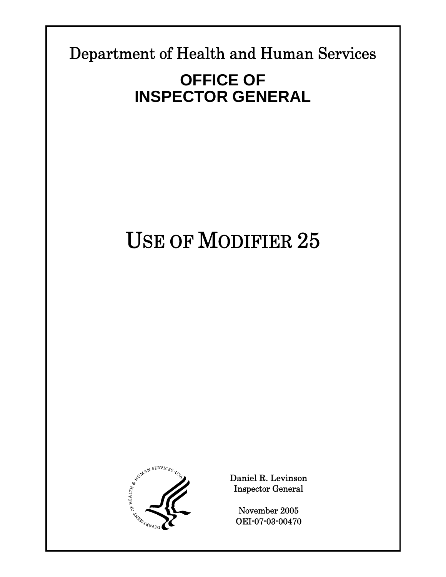Department of Health and Human Services

**Report Template Version = 09-08-04** 

# **OFFICE OF INSPECTOR GENERAL**

# USE OF MODIFIER 25



Daniel R. Levinson Inspector General

November 2005 OEI-07-03-00470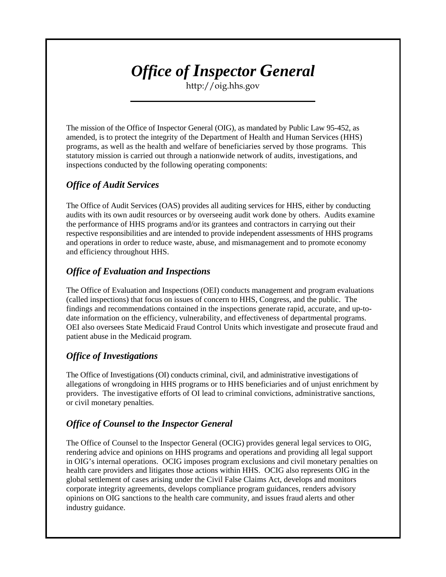# *Office of Inspector General*

http://oig.hhs.gov

The mission of the Office of Inspector General (OIG), as mandated by Public Law 95-452, as amended, is to protect the integrity of the Department of Health and Human Services (HHS) programs, as well as the health and welfare of beneficiaries served by those programs. This statutory mission is carried out through a nationwide network of audits, investigations, and inspections conducted by the following operating components:

# *Office of Audit Services*

The Office of Audit Services (OAS) provides all auditing services for HHS, either by conducting audits with its own audit resources or by overseeing audit work done by others. Audits examine the performance of HHS programs and/or its grantees and contractors in carrying out their respective responsibilities and are intended to provide independent assessments of HHS programs and operations in order to reduce waste, abuse, and mismanagement and to promote economy and efficiency throughout HHS.

# *Office of Evaluation and Inspections*

The Office of Evaluation and Inspections (OEI) conducts management and program evaluations (called inspections) that focus on issues of concern to HHS, Congress, and the public. The findings and recommendations contained in the inspections generate rapid, accurate, and up-todate information on the efficiency, vulnerability, and effectiveness of departmental programs. OEI also oversees State Medicaid Fraud Control Units which investigate and prosecute fraud and patient abuse in the Medicaid program.

# *Office of Investigations*

The Office of Investigations (OI) conducts criminal, civil, and administrative investigations of allegations of wrongdoing in HHS programs or to HHS beneficiaries and of unjust enrichment by providers. The investigative efforts of OI lead to criminal convictions, administrative sanctions, or civil monetary penalties.

# *Office of Counsel to the Inspector General*

The Office of Counsel to the Inspector General (OCIG) provides general legal services to OIG, rendering advice and opinions on HHS programs and operations and providing all legal support in OIG's internal operations. OCIG imposes program exclusions and civil monetary penalties on health care providers and litigates those actions within HHS. OCIG also represents OIG in the global settlement of cases arising under the Civil False Claims Act, develops and monitors corporate integrity agreements, develops compliance program guidances, renders advisory opinions on OIG sanctions to the health care community, and issues fraud alerts and other industry guidance.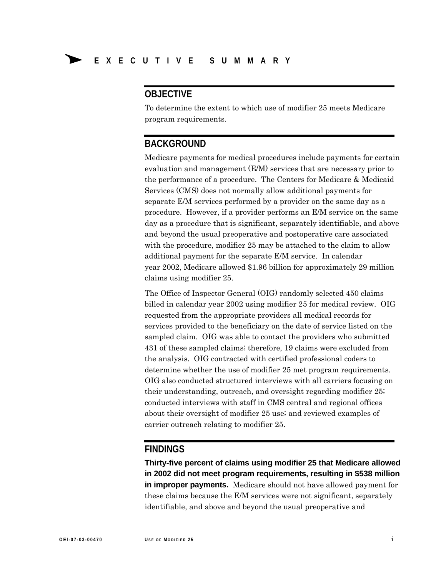# **OBJECTIVE**

To determine the extent to which use of modifier 25 meets Medicare program requirements.

# **BACKGROUND**

Medicare payments for medical procedures include payments for certain evaluation and management (E/M) services that are necessary prior to the performance of a procedure. The Centers for Medicare & Medicaid Services (CMS) does not normally allow additional payments for separate E/M services performed by a provider on the same day as a procedure. However, if a provider performs an E/M service on the same day as a procedure that is significant, separately identifiable, and above and beyond the usual preoperative and postoperative care associated with the procedure, modifier 25 may be attached to the claim to allow additional payment for the separate E/M service. In calendar year 2002, Medicare allowed \$1.96 billion for approximately 29 million claims using modifier 25.

The Office of Inspector General (OIG) randomly selected 450 claims billed in calendar year 2002 using modifier 25 for medical review. OIG requested from the appropriate providers all medical records for services provided to the beneficiary on the date of service listed on the sampled claim. OIG was able to contact the providers who submitted 431 of these sampled claims; therefore, 19 claims were excluded from the analysis. OIG contracted with certified professional coders to determine whether the use of modifier 25 met program requirements. OIG also conducted structured interviews with all carriers focusing on their understanding, outreach, and oversight regarding modifier 25; conducted interviews with staff in CMS central and regional offices about their oversight of modifier 25 use; and reviewed examples of carrier outreach relating to modifier 25.

## **FINDINGS**

**Thirty-five percent of claims using modifier 25 that Medicare allowed in 2002 did not meet program requirements, resulting in \$538 million in improper payments.** Medicare should not have allowed payment for these claims because the E/M services were not significant, separately identifiable, and above and beyond the usual preoperative and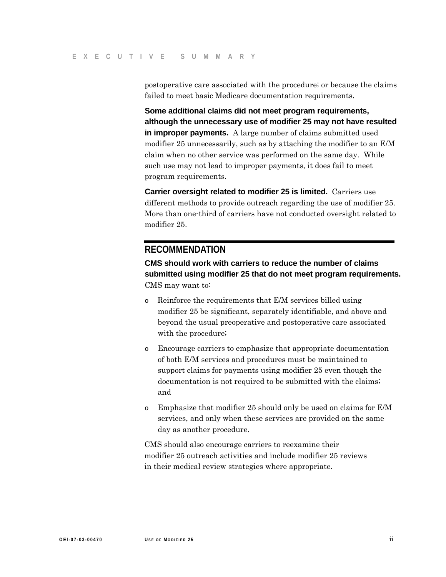postoperative care associated with the procedure; or because the claims failed to meet basic Medicare documentation requirements.

**Some additional claims did not meet program requirements, although the unnecessary use of modifier 25 may not have resulted in improper payments.** A large number of claims submitted used modifier 25 unnecessarily, such as by attaching the modifier to an E/M claim when no other service was performed on the same day. While such use may not lead to improper payments, it does fail to meet program requirements.

**Carrier oversight related to modifier 25 is limited.** Carriers use different methods to provide outreach regarding the use of modifier 25. More than one-third of carriers have not conducted oversight related to modifier 25.

# **RECOMMENDATION**

**CMS should work with carriers to reduce the number of claims submitted using modifier 25 that do not meet program requirements.**  CMS may want to:

- o Reinforce the requirements that E/M services billed using modifier 25 be significant, separately identifiable, and above and beyond the usual preoperative and postoperative care associated with the procedure;
- o Encourage carriers to emphasize that appropriate documentation of both E/M services and procedures must be maintained to support claims for payments using modifier 25 even though the documentation is not required to be submitted with the claims; and
- o Emphasize that modifier 25 should only be used on claims for E/M services, and only when these services are provided on the same day as another procedure.

CMS should also encourage carriers to reexamine their modifier 25 outreach activities and include modifier 25 reviews in their medical review strategies where appropriate.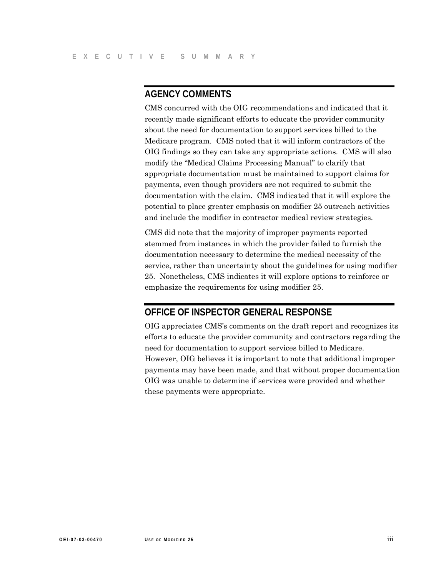# **AGENCY COMMENTS**

CMS concurred with the OIG recommendations and indicated that it recently made significant efforts to educate the provider community about the need for documentation to support services billed to the Medicare program. CMS noted that it will inform contractors of the OIG findings so they can take any appropriate actions. CMS will also modify the "Medical Claims Processing Manual" to clarify that appropriate documentation must be maintained to support claims for payments, even though providers are not required to submit the documentation with the claim. CMS indicated that it will explore the potential to place greater emphasis on modifier 25 outreach activities and include the modifier in contractor medical review strategies.

CMS did note that the majority of improper payments reported stemmed from instances in which the provider failed to furnish the documentation necessary to determine the medical necessity of the service, rather than uncertainty about the guidelines for using modifier 25. Nonetheless, CMS indicates it will explore options to reinforce or emphasize the requirements for using modifier 25.

# **OFFICE OF INSPECTOR GENERAL RESPONSE**

OIG appreciates CMS's comments on the draft report and recognizes its efforts to educate the provider community and contractors regarding the need for documentation to support services billed to Medicare. However, OIG believes it is important to note that additional improper payments may have been made, and that without proper documentation OIG was unable to determine if services were provided and whether these payments were appropriate.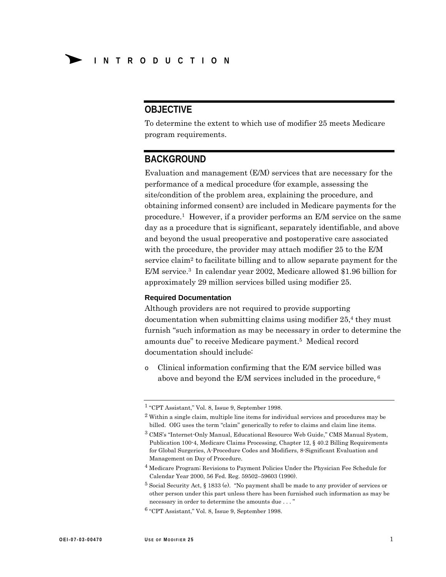# **OBJECTIVE**

To determine the extent to which use of modifier 25 meets Medicare program requirements.

# **BACKGROUND**

Evaluation and management (E/M) services that are necessary for the performance of a medical procedure (for example, assessing the site/condition of the problem area, explaining the procedure, and obtaining informed consent) are included in Medicare payments for the procedure.1 However, if a provider performs an E/M service on the same day as a procedure that is significant, separately identifiable, and above and beyond the usual preoperative and postoperative care associated with the procedure, the provider may attach modifier 25 to the E/M service claim<sup>2</sup> to facilitate billing and to allow separate payment for the E/M service. 3 In calendar year 2002, Medicare allowed \$1.96 billion for approximately 29 million services billed using modifier 25.

#### **Required Documentation**

Although providers are not required to provide supporting documentation when submitting claims using modifier  $25<sup>4</sup>$ , they must furnish "such information as may be necessary in order to determine the amounts due" to receive Medicare payment.5 Medical record documentation should include:

o Clinical information confirming that the E/M service billed was above and beyond the E/M services included in the procedure, 6

<sup>1 &</sup>quot;CPT Assistant," Vol. 8, Issue 9, September 1998.

<sup>2</sup> Within a single claim, multiple line items for individual services and procedures may be billed. OIG uses the term "claim" generically to refer to claims and claim line items.

<sup>3</sup> CMS's "Internet-Only Manual, Educational Resource Web Guide," CMS Manual System, Publication 100-4, Medicare Claims Processing, Chapter 12, § 40.2 Billing Requirements for Global Surgeries, A-Procedure Codes and Modifiers, 8-Significant Evaluation and Management on Day of Procedure.

<sup>4</sup> Medicare Program; Revisions to Payment Policies Under the Physician Fee Schedule for Calendar Year 2000, 56 Fed. Reg. 59502–59603 (1990).

<sup>5</sup> Social Security Act, § 1833 (e). "No payment shall be made to any provider of services or other person under this part unless there has been furnished such information as may be necessary in order to determine the amounts due . . . "

<sup>6 &</sup>quot;CPT Assistant," Vol. 8, Issue 9, September 1998.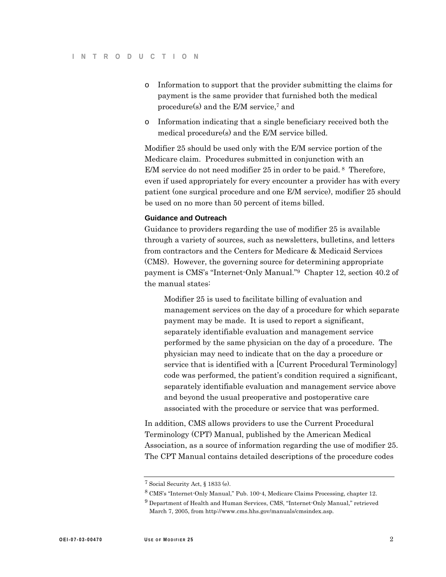- o Information to support that the provider submitting the claims for payment is the same provider that furnished both the medical procedure(s) and the E/M service,7 and
- o Information indicating that a single beneficiary received both the medical procedure(s) and the E/M service billed.

Modifier 25 should be used only with the E/M service portion of the Medicare claim. Procedures submitted in conjunction with an E/M service do not need modifier 25 in order to be paid. <sup>8</sup> Therefore, even if used appropriately for every encounter a provider has with every patient (one surgical procedure and one E/M service), modifier 25 should be used on no more than 50 percent of items billed.

#### **Guidance and Outreach**

Guidance to providers regarding the use of modifier 25 is available through a variety of sources, such as newsletters, bulletins, and letters from contractors and the Centers for Medicare & Medicaid Services (CMS). However, the governing source for determining appropriate payment is CMS's "Internet-Only Manual."9 Chapter 12, section 40.2 of the manual states:

Modifier 25 is used to facilitate billing of evaluation and management services on the day of a procedure for which separate payment may be made. It is used to report a significant, separately identifiable evaluation and management service performed by the same physician on the day of a procedure. The physician may need to indicate that on the day a procedure or service that is identified with a [Current Procedural Terminology] code was performed, the patient's condition required a significant, separately identifiable evaluation and management service above and beyond the usual preoperative and postoperative care associated with the procedure or service that was performed.

In addition, CMS allows providers to use the Current Procedural Terminology (CPT) Manual, published by the American Medical Association, as a source of information regarding the use of modifier 25. The CPT Manual contains detailed descriptions of the procedure codes

<sup>7</sup> Social Security Act, § 1833 (e).

<sup>8</sup> CMS's "Internet-Only Manual," Pub. 100-4, Medicare Claims Processing, chapter 12.

<sup>&</sup>lt;sup>9</sup> Department of Health and Human Services, CMS, "Internet-Only Manual," retrieved March 7, 2005, from http://www.cms.hhs.gov/manuals/cmsindex.asp.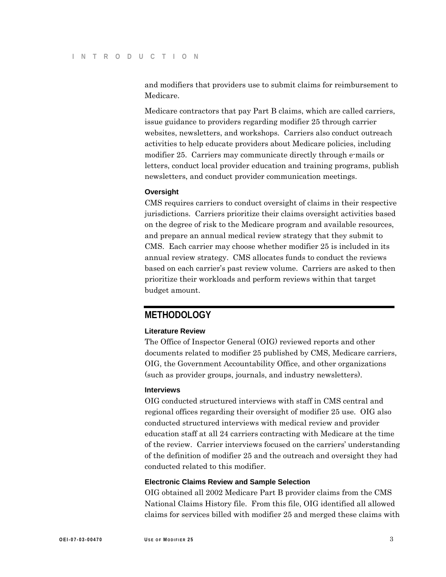and modifiers that providers use to submit claims for reimbursement to Medicare.

Medicare contractors that pay Part B claims, which are called carriers, issue guidance to providers regarding modifier 25 through carrier websites, newsletters, and workshops. Carriers also conduct outreach activities to help educate providers about Medicare policies, including modifier 25. Carriers may communicate directly through e-mails or letters, conduct local provider education and training programs, publish newsletters, and conduct provider communication meetings.

### **Oversight**

CMS requires carriers to conduct oversight of claims in their respective jurisdictions. Carriers prioritize their claims oversight activities based on the degree of risk to the Medicare program and available resources, and prepare an annual medical review strategy that they submit to CMS. Each carrier may choose whether modifier 25 is included in its annual review strategy. CMS allocates funds to conduct the reviews based on each carrier's past review volume. Carriers are asked to then prioritize their workloads and perform reviews within that target budget amount.

# **METHODOLOGY**

#### **Literature Review**

The Office of Inspector General (OIG) reviewed reports and other documents related to modifier 25 published by CMS, Medicare carriers, OIG, the Government Accountability Office, and other organizations (such as provider groups, journals, and industry newsletters).

#### **Interviews**

OIG conducted structured interviews with staff in CMS central and regional offices regarding their oversight of modifier 25 use. OIG also conducted structured interviews with medical review and provider education staff at all 24 carriers contracting with Medicare at the time of the review. Carrier interviews focused on the carriers' understanding of the definition of modifier 25 and the outreach and oversight they had conducted related to this modifier.

#### **Electronic Claims Review and Sample Selection**

OIG obtained all 2002 Medicare Part B provider claims from the CMS National Claims History file. From this file, OIG identified all allowed claims for services billed with modifier 25 and merged these claims with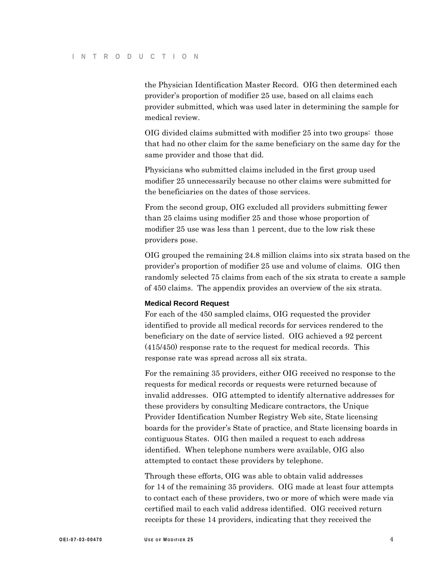the Physician Identification Master Record. OIG then determined each provider's proportion of modifier 25 use, based on all claims each provider submitted, which was used later in determining the sample for medical review.

OIG divided claims submitted with modifier 25 into two groups: those that had no other claim for the same beneficiary on the same day for the same provider and those that did.

Physicians who submitted claims included in the first group used modifier 25 unnecessarily because no other claims were submitted for the beneficiaries on the dates of those services.

From the second group, OIG excluded all providers submitting fewer than 25 claims using modifier 25 and those whose proportion of modifier 25 use was less than 1 percent, due to the low risk these providers pose.

OIG grouped the remaining 24.8 million claims into six strata based on the provider's proportion of modifier 25 use and volume of claims. OIG then randomly selected 75 claims from each of the six strata to create a sample of 450 claims. The appendix provides an overview of the six strata.

#### **Medical Record Request**

For each of the 450 sampled claims, OIG requested the provider identified to provide all medical records for services rendered to the beneficiary on the date of service listed. OIG achieved a 92 percent (415/450) response rate to the request for medical records. This response rate was spread across all six strata.

For the remaining 35 providers, either OIG received no response to the requests for medical records or requests were returned because of invalid addresses. OIG attempted to identify alternative addresses for these providers by consulting Medicare contractors, the Unique Provider Identification Number Registry Web site, State licensing boards for the provider's State of practice, and State licensing boards in contiguous States. OIG then mailed a request to each address identified. When telephone numbers were available, OIG also attempted to contact these providers by telephone.

Through these efforts, OIG was able to obtain valid addresses for 14 of the remaining 35 providers. OIG made at least four attempts to contact each of these providers, two or more of which were made via certified mail to each valid address identified. OIG received return receipts for these 14 providers, indicating that they received the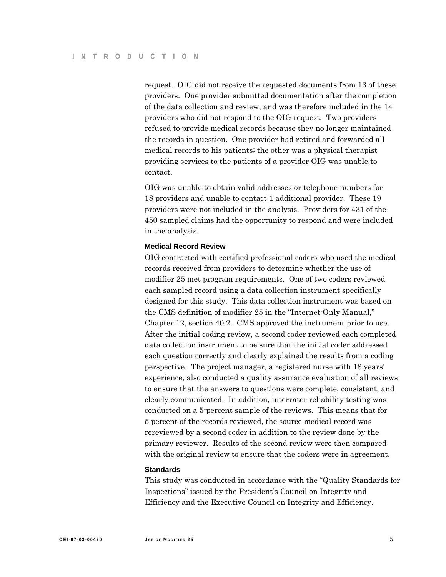request. OIG did not receive the requested documents from 13 of these providers. One provider submitted documentation after the completion of the data collection and review, and was therefore included in the 14 providers who did not respond to the OIG request. Two providers refused to provide medical records because they no longer maintained the records in question. One provider had retired and forwarded all medical records to his patients; the other was a physical therapist providing services to the patients of a provider OIG was unable to contact.

OIG was unable to obtain valid addresses or telephone numbers for 18 providers and unable to contact 1 additional provider. These 19 providers were not included in the analysis. Providers for 431 of the 450 sampled claims had the opportunity to respond and were included in the analysis.

#### **Medical Record Review**

OIG contracted with certified professional coders who used the medical records received from providers to determine whether the use of modifier 25 met program requirements. One of two coders reviewed each sampled record using a data collection instrument specifically designed for this study. This data collection instrument was based on the CMS definition of modifier 25 in the "Internet-Only Manual," Chapter 12, section 40.2. CMS approved the instrument prior to use. After the initial coding review, a second coder reviewed each completed data collection instrument to be sure that the initial coder addressed each question correctly and clearly explained the results from a coding perspective. The project manager, a registered nurse with 18 years' experience, also conducted a quality assurance evaluation of all reviews to ensure that the answers to questions were complete, consistent, and clearly communicated. In addition, interrater reliability testing was conducted on a 5-percent sample of the reviews. This means that for 5 percent of the records reviewed, the source medical record was rereviewed by a second coder in addition to the review done by the primary reviewer. Results of the second review were then compared with the original review to ensure that the coders were in agreement.

#### **Standards**

This study was conducted in accordance with the "Quality Standards for Inspections" issued by the President's Council on Integrity and Efficiency and the Executive Council on Integrity and Efficiency.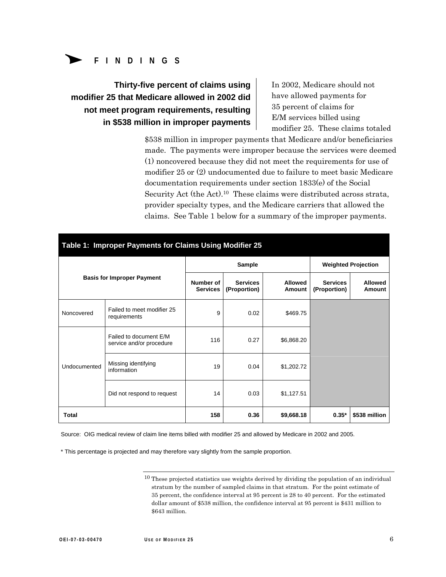

**Thirty-five percent of claims using modifier 25 that Medicare allowed in 2002 did not meet program requirements, resulting in \$538 million in improper payments**  In 2002, Medicare should not have allowed payments for 35 percent of claims for E/M services billed using modifier 25. These claims totaled

\$538 million in improper payments that Medicare and/or beneficiaries made. The payments were improper because the services were deemed (1) noncovered because they did not meet the requirements for use of modifier 25 or (2) undocumented due to failure to meet basic Medicare documentation requirements under section 1833(e) of the Social Security Act (the Act).10 These claims were distributed across strata, provider specialty types, and the Medicare carriers that allowed the claims. See Table 1 below for a summary of the improper payments.

| Table 1: Improper Payments for Claims Using Modifier 25 |                                                    |                              |                                 |                            |                                 |                          |  |  |  |  |  |
|---------------------------------------------------------|----------------------------------------------------|------------------------------|---------------------------------|----------------------------|---------------------------------|--------------------------|--|--|--|--|--|
| <b>Basis for Improper Payment</b>                       |                                                    |                              | Sample                          | <b>Weighted Projection</b> |                                 |                          |  |  |  |  |  |
|                                                         |                                                    | Number of<br><b>Services</b> | <b>Services</b><br>(Proportion) | <b>Allowed</b><br>Amount   | <b>Services</b><br>(Proportion) | <b>Allowed</b><br>Amount |  |  |  |  |  |
| Noncovered                                              | Failed to meet modifier 25<br>requirements         | 9                            | 0.02                            | \$469.75                   |                                 |                          |  |  |  |  |  |
| Undocumented                                            | Failed to document E/M<br>service and/or procedure | 116                          | 0.27                            | \$6,868.20                 |                                 |                          |  |  |  |  |  |
|                                                         | Missing identifying<br>information                 | 19                           | 0.04                            | \$1,202.72                 |                                 |                          |  |  |  |  |  |
|                                                         | Did not respond to request                         | 14                           | 0.03                            | \$1,127.51                 |                                 |                          |  |  |  |  |  |
| Total                                                   |                                                    | 158                          | 0.36                            | \$9,668.18                 | $0.35*$                         | \$538 million            |  |  |  |  |  |

Source: OIG medical review of claim line items billed with modifier 25 and allowed by Medicare in 2002 and 2005.

\* This percentage is projected and may therefore vary slightly from the sample proportion.

 $10$  These projected statistics use weights derived by dividing the population of an individual stratum by the number of sampled claims in that stratum. For the point estimate of 35 percent, the confidence interval at 95 percent is 28 to 40 percent. For the estimated dollar amount of \$538 million, the confidence interval at 95 percent is \$431 million to \$643 million.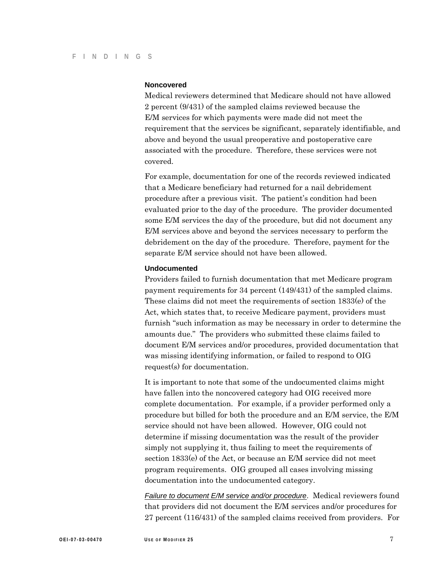### **Noncovered**

Medical reviewers determined that Medicare should not have allowed 2 percent (9/431) of the sampled claims reviewed because the E/M services for which payments were made did not meet the requirement that the services be significant, separately identifiable, and above and beyond the usual preoperative and postoperative care associated with the procedure. Therefore, these services were not covered.

For example, documentation for one of the records reviewed indicated that a Medicare beneficiary had returned for a nail debridement procedure after a previous visit. The patient's condition had been evaluated prior to the day of the procedure. The provider documented some E/M services the day of the procedure, but did not document any E/M services above and beyond the services necessary to perform the debridement on the day of the procedure. Therefore, payment for the separate E/M service should not have been allowed.

#### **Undocumented**

Providers failed to furnish documentation that met Medicare program payment requirements for 34 percent (149/431) of the sampled claims. These claims did not meet the requirements of section 1833(e) of the Act, which states that, to receive Medicare payment, providers must furnish "such information as may be necessary in order to determine the amounts due." The providers who submitted these claims failed to document E/M services and/or procedures, provided documentation that was missing identifying information, or failed to respond to OIG request(s) for documentation.

It is important to note that some of the undocumented claims might have fallen into the noncovered category had OIG received more complete documentation. For example, if a provider performed only a procedure but billed for both the procedure and an E/M service, the E/M service should not have been allowed. However, OIG could not determine if missing documentation was the result of the provider simply not supplying it, thus failing to meet the requirements of section 1833(e) of the Act, or because an E/M service did not meet program requirements. OIG grouped all cases involving missing documentation into the undocumented category.

*Failure to document E/M service and/or procedure*. Medical reviewers found that providers did not document the E/M services and/or procedures for 27 percent (116/431) of the sampled claims received from providers. For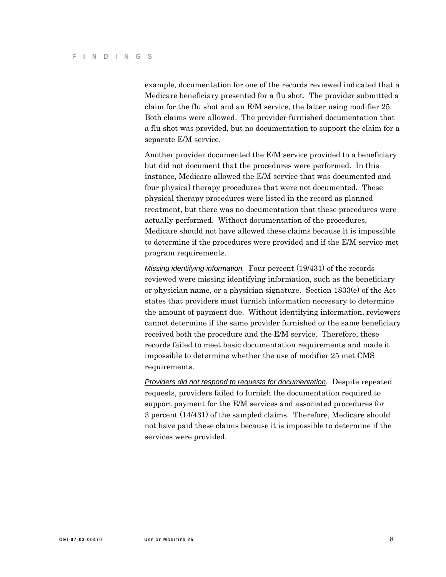example, documentation for one of the records reviewed indicated that a Medicare beneficiary presented for a flu shot. The provider submitted a claim for the flu shot and an E/M service, the latter using modifier 25. Both claims were allowed. The provider furnished documentation that a flu shot was provided, but no documentation to support the claim for a separate E/M service.

Another provider documented the E/M service provided to a beneficiary but did not document that the procedures were performed. In this instance, Medicare allowed the E/M service that was documented and four physical therapy procedures that were not documented. These physical therapy procedures were listed in the record as planned treatment, but there was no documentation that these procedures were actually performed. Without documentation of the procedures, Medicare should not have allowed these claims because it is impossible to determine if the procedures were provided and if the E/M service met program requirements.

*Missing identifying information.* Four percent (19/431) of the records reviewed were missing identifying information, such as the beneficiary or physician name, or a physician signature. Section 1833(e) of the Act states that providers must furnish information necessary to determine the amount of payment due. Without identifying information, reviewers cannot determine if the same provider furnished or the same beneficiary received both the procedure and the E/M service. Therefore, these records failed to meet basic documentation requirements and made it impossible to determine whether the use of modifier 25 met CMS requirements.

*Providers did not respond to requests for documentation.* Despite repeated requests, providers failed to furnish the documentation required to support payment for the E/M services and associated procedures for 3 percent (14/431) of the sampled claims. Therefore, Medicare should not have paid these claims because it is impossible to determine if the services were provided.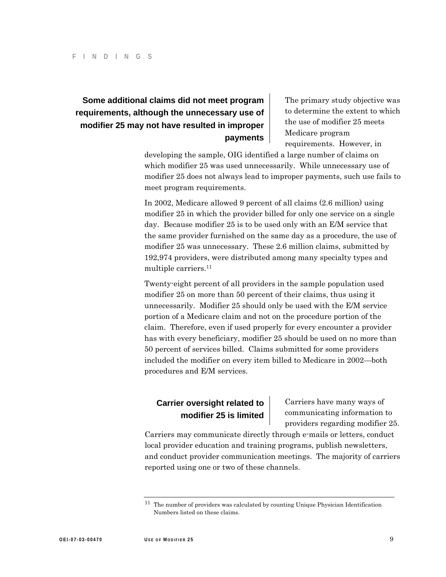# **Some additional claims did not meet program requirements, although the unnecessary use of modifier 25 may not have resulted in improper payments**

The primary study objective was to determine the extent to which the use of modifier 25 meets Medicare program requirements. However, in

developing the sample, OIG identified a large number of claims on which modifier 25 was used unnecessarily. While unnecessary use of modifier 25 does not always lead to improper payments, such use fails to meet program requirements.

In 2002, Medicare allowed 9 percent of all claims (2.6 million) using modifier 25 in which the provider billed for only one service on a single day. Because modifier 25 is to be used only with an E/M service that the same provider furnished on the same day as a procedure, the use of modifier 25 was unnecessary. These 2.6 million claims, submitted by 192,974 providers, were distributed among many specialty types and multiple carriers.11

Twenty-eight percent of all providers in the sample population used modifier 25 on more than 50 percent of their claims, thus using it unnecessarily. Modifier 25 should only be used with the E/M service portion of a Medicare claim and not on the procedure portion of the claim. Therefore, even if used properly for every encounter a provider has with every beneficiary, modifier 25 should be used on no more than 50 percent of services billed. Claims submitted for some providers included the modifier on every item billed to Medicare in 2002—both procedures and E/M services.

**Carrier oversight related to Carriers have many ways of modifier 25 is limited** communicating information to providers regarding modifier 25.

Carriers may communicate directly through e-mails or letters, conduct local provider education and training programs, publish newsletters, and conduct provider communication meetings. The majority of carriers reported using one or two of these channels.

<sup>11</sup> The number of providers was calculated by counting Unique Physician Identification Numbers listed on these claims.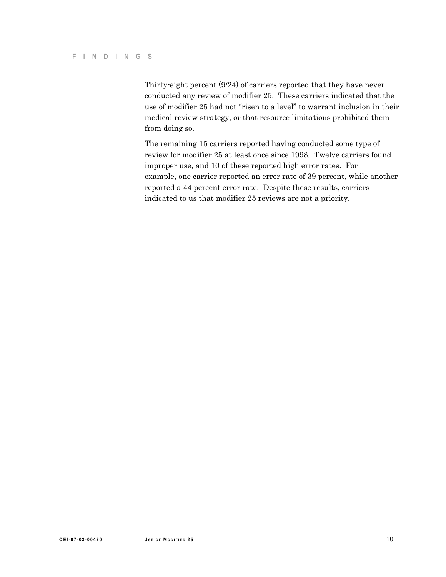Thirty-eight percent (9/24) of carriers reported that they have never conducted any review of modifier 25. These carriers indicated that the use of modifier 25 had not "risen to a level" to warrant inclusion in their medical review strategy, or that resource limitations prohibited them from doing so.

The remaining 15 carriers reported having conducted some type of review for modifier 25 at least once since 1998. Twelve carriers found improper use, and 10 of these reported high error rates. For example, one carrier reported an error rate of 39 percent, while another reported a 44 percent error rate. Despite these results, carriers indicated to us that modifier 25 reviews are not a priority.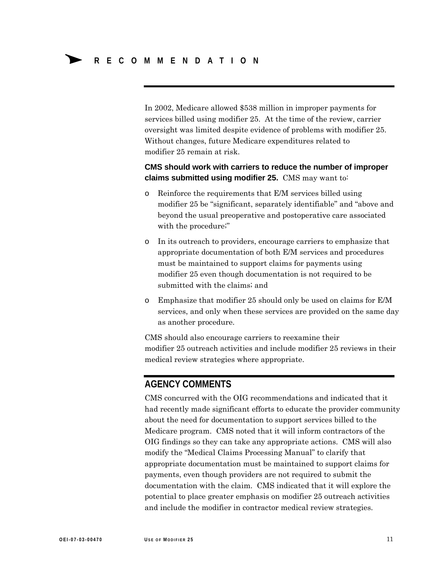In 2002, Medicare allowed \$538 million in improper payments for services billed using modifier 25. At the time of the review, carrier oversight was limited despite evidence of problems with modifier 25. Without changes, future Medicare expenditures related to modifier 25 remain at risk.

### **CMS should work with carriers to reduce the number of improper claims submitted using modifier 25.** CMS may want to:

- o Reinforce the requirements that E/M services billed using modifier 25 be "significant, separately identifiable" and "above and beyond the usual preoperative and postoperative care associated with the procedure;"
- o In its outreach to providers, encourage carriers to emphasize that appropriate documentation of both E/M services and procedures must be maintained to support claims for payments using modifier 25 even though documentation is not required to be submitted with the claims; and
- o Emphasize that modifier 25 should only be used on claims for E/M services, and only when these services are provided on the same day as another procedure.

CMS should also encourage carriers to reexamine their modifier 25 outreach activities and include modifier 25 reviews in their medical review strategies where appropriate.

# **AGENCY COMMENTS**

CMS concurred with the OIG recommendations and indicated that it had recently made significant efforts to educate the provider community about the need for documentation to support services billed to the Medicare program. CMS noted that it will inform contractors of the OIG findings so they can take any appropriate actions. CMS will also modify the "Medical Claims Processing Manual" to clarify that appropriate documentation must be maintained to support claims for payments, even though providers are not required to submit the documentation with the claim. CMS indicated that it will explore the potential to place greater emphasis on modifier 25 outreach activities and include the modifier in contractor medical review strategies.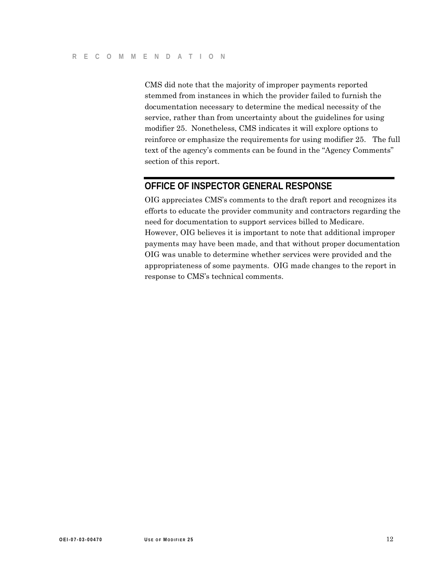CMS did note that the majority of improper payments reported stemmed from instances in which the provider failed to furnish the documentation necessary to determine the medical necessity of the service, rather than from uncertainty about the guidelines for using modifier 25. Nonetheless, CMS indicates it will explore options to reinforce or emphasize the requirements for using modifier 25. The full text of the agency's comments can be found in the "Agency Comments" section of this report.

# **OFFICE OF INSPECTOR GENERAL RESPONSE**

OIG appreciates CMS's comments to the draft report and recognizes its efforts to educate the provider community and contractors regarding the need for documentation to support services billed to Medicare. However, OIG believes it is important to note that additional improper payments may have been made, and that without proper documentation OIG was unable to determine whether services were provided and the appropriateness of some payments. OIG made changes to the report in response to CMS's technical comments.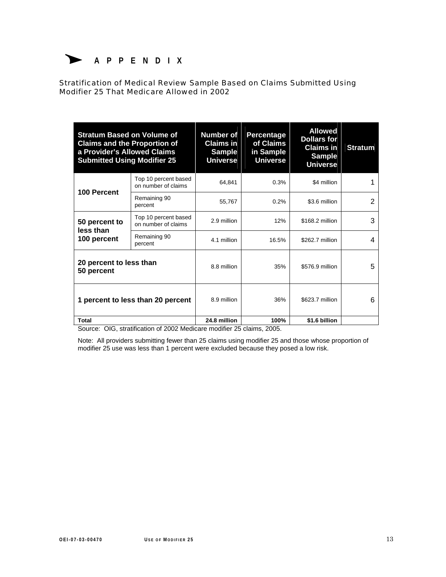

Stratification of Medical Review Sample Based on Claims Submitted Using Modifier 25 That Medicare Allowed in 2002

| <b>Stratum Based on Volume of</b><br><b>Claims and the Proportion of</b><br>a Provider's Allowed Claims<br><b>Submitted Using Modifier 25</b> |                                             | <b>Number of</b><br><b>Claims in</b><br><b>Sample</b><br><b>Universe</b> | Percentage<br>of Claims<br>in Sample<br><b>Universe</b> | <b>Allowed</b><br><b>Dollars for</b><br><b>Claims in</b><br><b>Sample</b><br><b>Universe</b> | <b>Stratum</b> |
|-----------------------------------------------------------------------------------------------------------------------------------------------|---------------------------------------------|--------------------------------------------------------------------------|---------------------------------------------------------|----------------------------------------------------------------------------------------------|----------------|
| 100 Percent                                                                                                                                   | Top 10 percent based<br>on number of claims | 64,841                                                                   | 0.3%                                                    | \$4 million                                                                                  |                |
|                                                                                                                                               | Remaining 90<br>percent                     | 55,767                                                                   | 0.2%                                                    | \$3.6 million                                                                                | 2              |
| 50 percent to<br>less than<br>100 percent                                                                                                     | Top 10 percent based<br>on number of claims | 2.9 million                                                              | 12%                                                     | \$168.2 million                                                                              | 3              |
|                                                                                                                                               | Remaining 90<br>percent                     | 4.1 million                                                              | 16.5%                                                   | \$262.7 million                                                                              | 4              |
| 20 percent to less than<br>50 percent                                                                                                         |                                             | 8.8 million                                                              | 35%                                                     | \$576.9 million                                                                              | 5              |
| 1 percent to less than 20 percent                                                                                                             |                                             | 8.9 million                                                              | 36%                                                     | \$623.7 million                                                                              | 6              |
| <b>Total</b>                                                                                                                                  |                                             | 24.8 million                                                             | 100%                                                    | \$1.6 billion                                                                                |                |

Source: OIG, stratification of 2002 Medicare modifier 25 claims, 2005.

Note: All providers submitting fewer than 25 claims using modifier 25 and those whose proportion of modifier 25 use was less than 1 percent were excluded because they posed a low risk.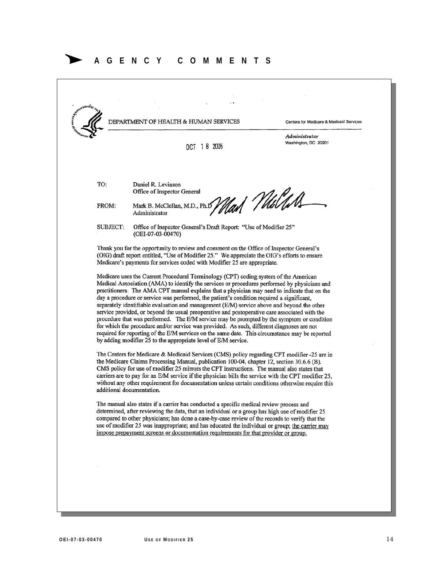# Δ **AGENCY COMMENTS**

DEPARTMENT OF HEALTH & HUMAN SERVICES Centers for Medicare & Medicaid Services Administrator Washington, DC 20201 OCT 18 2005 TO: Daniel R. Levinson Office of Inspector General <sub>Var</sub>t *(U*ulus Mark B. McClellan, M.D., Ph.D FROM: Administrator **SUBJECT:** Office of Inspector General's Draft Report: "Use of Modifier 25" (OEI-07-03-00470) Thank you for the opportunity to review and comment on the Office of Inspector General's (OIG) draft report entitled, "Use of Modifier 25." We appreciate the OIG's efforts to ensure Medicare's payments for services coded with Modifier 25 are appropriate. Medicare uses the Current Procedural Terminology (CPT) coding system of the American Medical Association (AMA) to identify the services or procedures performed by physicians and practitioners. The AMA CPT manual explains that a physician may need to indicate that on the day a procedure or service was performed, the patient's condition required a significant, separately identifiable evaluation and management (E/M) service above and beyond the other service provided, or beyond the usual preoperative and postoperative care associated with the procedure that was performed. The E/M service may be prompted by the symptom or condition for which the procedure and/or service was provided. As such, different diagnoses are not required for reporting of the E/M services on the same date. This circumstance may be reported by adding modifier 25 to the appropriate level of E/M service. The Centers for Medicare & Medicaid Services (CMS) policy regarding CPT modifier -25 are in the Medicare Claims Processing Manual, publication 100-04, chapter 12, section 30.6.6 (B). CMS policy for use of modifier 25 mirrors the CPT instructions. The manual also states that carriers are to pay for an E/M service if the physician bills the service with the CPT modifier 25, without any other requirement for documentation unless certain conditions otherwise require this additional documentation. The manual also states if a carrier has conducted a specific medical review process and determined, after reviewing the data, that an individual or a group has high use of modifier 25 compared to other physicians; has done a case-by-case review of the records to verify that the use of modifier 25 was inappropriate; and has educated the individual or group; the carrier may impose prepayment screens or documentation requirements for that provider or group.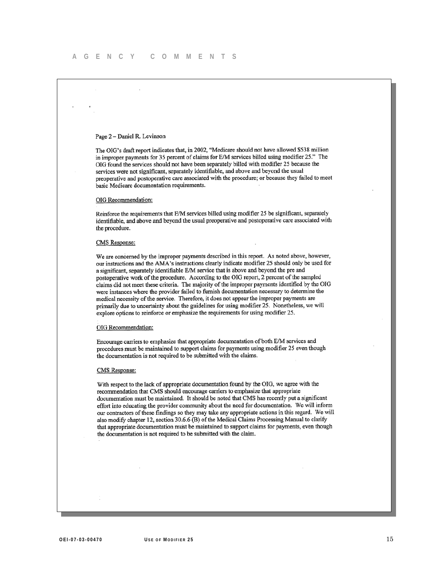#### Page 2 - Daniel R. Levinson

The OIG's draft report indicates that, in 2002, "Medicare should not have allowed \$538 million in improper payments for 35 percent of claims for E/M services billed using modifier 25." The OIG found the services should not have been separately billed with modifier 25 because the services were not significant, separately identifiable, and above and beyond the usual preoperative and postoperative care associated with the procedure; or because they failed to meet basic Medicare documentation requirements.

#### OIG Recommendation:

Reinforce the requirements that E/M services billed using modifier 25 be significant, separately identifiable, and above and beyond the usual preoperative and postoperative care associated with the procedure.

#### **CMS** Response:

We are concerned by the improper payments described in this report. As noted above, however, our instructions and the AMA's instructions clearly indicate modifier 25 should only be used for a significant, separately identifiable E/M service that is above and beyond the pre and postoperative work of the procedure. According to the OIG report, 2 percent of the sampled claims did not meet these criteria. The majority of the improper payments identified by the OIG were instances where the provider failed to furnish documentation necessary to determine the medical necessity of the service. Therefore, it does not appear the improper payments are primarily due to uncertainty about the guidelines for using modifier 25. Nonetheless, we will explore options to reinforce or emphasize the requirements for using modifier 25.

#### OIG Recommendation:

Encourage carriers to emphasize that appropriate documentation of both E/M services and procedures must be maintained to support claims for payments using modifier 25 even though the documentation is not required to be submitted with the claims.

#### **CMS** Response:

With respect to the lack of appropriate documentation found by the OIG, we agree with the recommendation that CMS should encourage carriers to emphasize that appropriate documentation must be maintained. It should be noted that CMS has recently put a significant effort into educating the provider community about the need for documentation. We will inform our contractors of these findings so they may take any appropriate actions in this regard. We will also modify chapter 12, section 30.6.6 (B) of the Medical Claims Processing Manual to clarify that appropriate documentation must be maintained to support claims for payments, even though the documentation is not required to be submitted with the claim.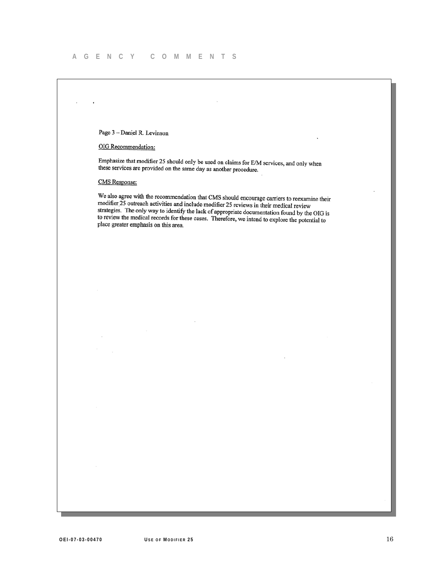Page 3 - Daniel R. Levinson

OIG Recommendation:

Emphasize that modifier 25 should only be used on claims for E/M services, and only when these services are provided on the same day as another procedure.

 $\sim$ 

**CMS** Response:

We also agree with the recommendation that CMS should encourage carriers to reexamine their<br>modifier 25 extractly still in the U.S. and the U.S. and the U.S. and the U.S. and the U.S. and the U.S. and the U.S. and the U.S. modifier 25 cutreach activities and include modifier 25 reviews in their medical review<br>strategies. The culturate include modifier 25 reviews in their medical review strategies. The only way to identify the lack of appropriate documentation found by the OIG is<br>strategies. The only way to identify the lack of appropriate documentation found by the OIG is budgles. The only way to definity the fack of appropriate documentation found by the OIG is<br>to review the medical records for these cases. Therefore, we intend to explore the potential to<br>to review the medical records place greater emphasis on this area.